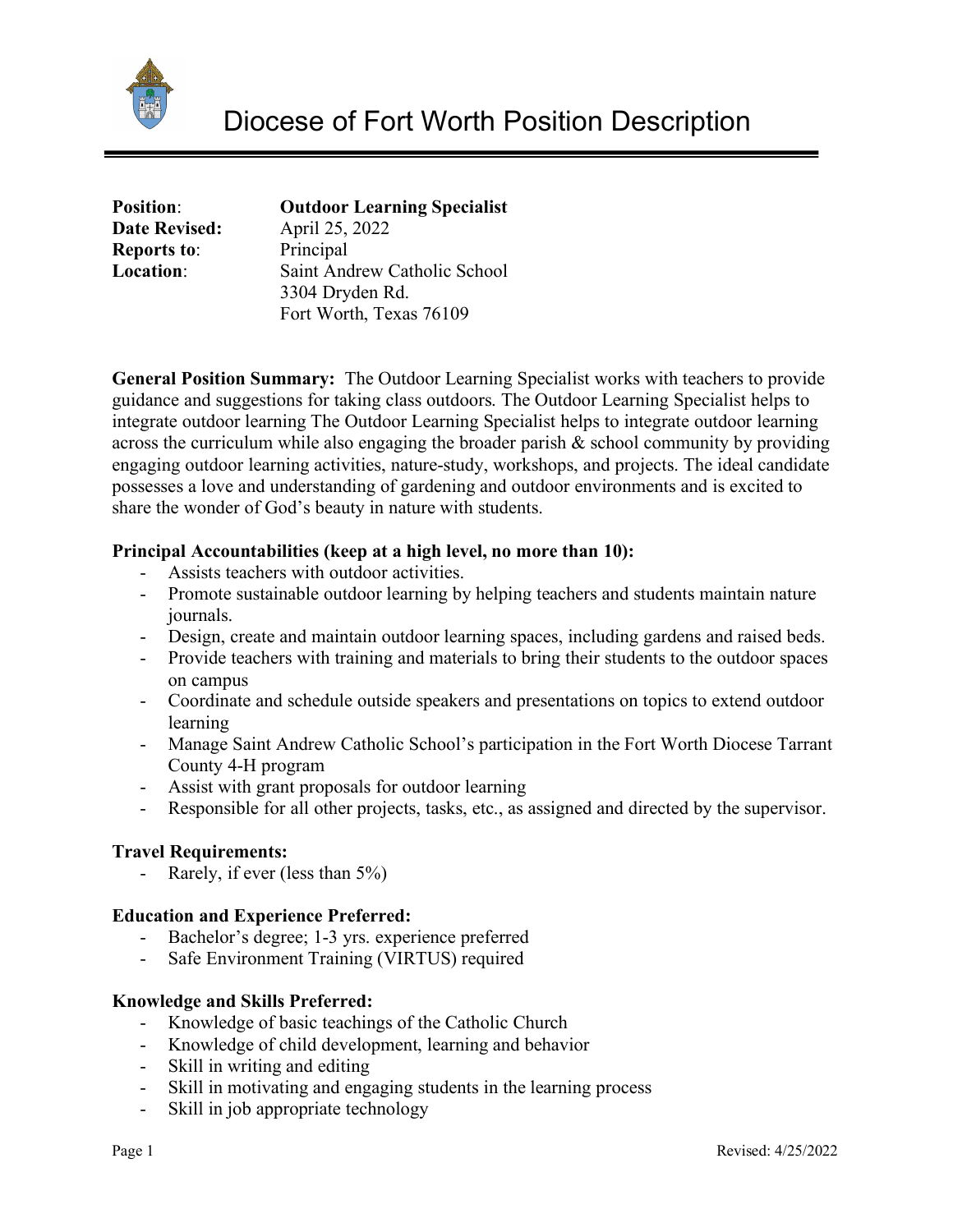

| <b>Position:</b>     | <b>Outdoor Learning Specialist</b> |
|----------------------|------------------------------------|
| <b>Date Revised:</b> | April 25, 2022                     |
| <b>Reports to:</b>   | Principal                          |
| <b>Location:</b>     | Saint Andrew Catholic School       |
|                      | 3304 Dryden Rd.                    |
|                      | Fort Worth, Texas 76109            |

**General Position Summary:** The Outdoor Learning Specialist works with teachers to provide guidance and suggestions for taking class outdoors. The Outdoor Learning Specialist helps to integrate outdoor learning The Outdoor Learning Specialist helps to integrate outdoor learning across the curriculum while also engaging the broader parish & school community by providing engaging outdoor learning activities, nature-study, workshops, and projects. The ideal candidate possesses a love and understanding of gardening and outdoor environments and is excited to share the wonder of God's beauty in nature with students.

## **Principal Accountabilities (keep at a high level, no more than 10):**

- Assists teachers with outdoor activities.
- Promote sustainable outdoor learning by helping teachers and students maintain nature journals.
- Design, create and maintain outdoor learning spaces, including gardens and raised beds.
- Provide teachers with training and materials to bring their students to the outdoor spaces on campus
- Coordinate and schedule outside speakers and presentations on topics to extend outdoor learning
- Manage Saint Andrew Catholic School's participation in the Fort Worth Diocese Tarrant County 4-H program
- Assist with grant proposals for outdoor learning
- Responsible for all other projects, tasks, etc., as assigned and directed by the supervisor.

## **Travel Requirements:**

- Rarely, if ever (less than 5%)

## **Education and Experience Preferred:**

- Bachelor's degree; 1-3 yrs. experience preferred
- Safe Environment Training (VIRTUS) required

## **Knowledge and Skills Preferred:**

- Knowledge of basic teachings of the Catholic Church
- Knowledge of child development, learning and behavior
- Skill in writing and editing
- Skill in motivating and engaging students in the learning process
- Skill in job appropriate technology